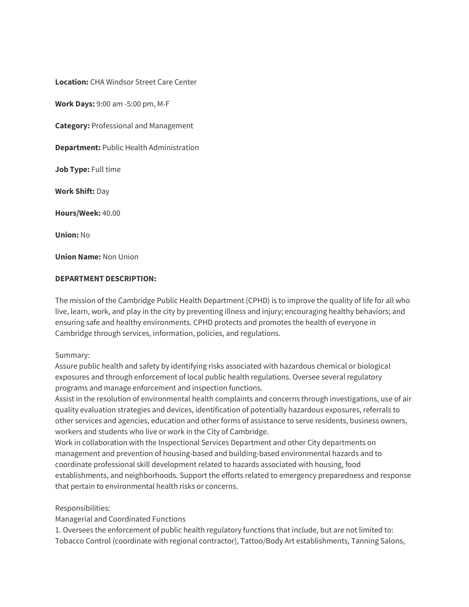**Location:** CHA Windsor Street Care Center

**Work Days:** 9:00 am -5:00 pm, M-F

**Category:** Professional and Management

**Department:** Public Health Administration

**Job Type:** Full time

**Work Shift:** Day

**Hours/Week:** 40.00

**Union:** No

**Union Name:** Non Union

### **DEPARTMENT DESCRIPTION:**

The mission of the Cambridge Public Health Department (CPHD) is to improve the quality of life for all who live, learn, work, and play in the city by preventing illness and injury; encouraging healthy behaviors; and ensuring safe and healthy environments. CPHD protects and promotes the health of everyone in Cambridge through services, information, policies, and regulations.

#### Summary:

Assure public health and safety by identifying risks associated with hazardous chemical or biological exposures and through enforcement of local public health regulations. Oversee several regulatory programs and manage enforcement and inspection functions.

Assist in the resolution of environmental health complaints and concerns through investigations, use of air quality evaluation strategies and devices, identification of potentially hazardous exposures, referrals to other services and agencies, education and other forms of assistance to serve residents, business owners, workers and students who live or work in the City of Cambridge.

Work in collaboration with the Inspectional Services Department and other City departments on management and prevention of housing-based and building-based environmental hazards and to coordinate professional skill development related to hazards associated with housing, food establishments, and neighborhoods. Support the efforts related to emergency preparedness and response that pertain to environmental health risks or concerns.

### Responsibilities:

Managerial and Coordinated Functions

1. Oversees the enforcement of public health regulatory functions that include, but are not limited to: Tobacco Control (coordinate with regional contractor), Tattoo/Body Art establishments, Tanning Salons,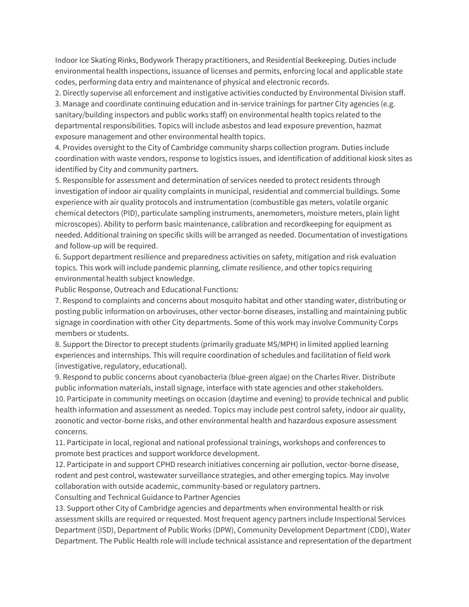Indoor Ice Skating Rinks, Bodywork Therapy practitioners, and Residential Beekeeping. Duties include environmental health inspections, issuance of licenses and permits, enforcing local and applicable state codes, performing data entry and maintenance of physical and electronic records.

2. Directly supervise all enforcement and instigative activities conducted by Environmental Division staff. 3. Manage and coordinate continuing education and in-service trainings for partner City agencies (e.g. sanitary/building inspectors and public works staff) on environmental health topics related to the departmental responsibilities. Topics will include asbestos and lead exposure prevention, hazmat exposure management and other environmental health topics.

4. Provides oversight to the City of Cambridge community sharps collection program. Duties include coordination with waste vendors, response to logistics issues, and identification of additional kiosk sites as identified by City and community partners.

5. Responsible for assessment and determination of services needed to protect residents through investigation of indoor air quality complaints in municipal, residential and commercial buildings. Some experience with air quality protocols and instrumentation (combustible gas meters, volatile organic chemical detectors (PID), particulate sampling instruments, anemometers, moisture meters, plain light microscopes). Ability to perform basic maintenance, calibration and recordkeeping for equipment as needed. Additional training on specific skills will be arranged as needed. Documentation of investigations and follow-up will be required.

6. Support department resilience and preparedness activities on safety, mitigation and risk evaluation topics. This work will include pandemic planning, climate resilience, and other topics requiring environmental health subject knowledge.

Public Response, Outreach and Educational Functions:

7. Respond to complaints and concerns about mosquito habitat and other standing water, distributing or posting public information on arboviruses, other vector-borne diseases, installing and maintaining public signage in coordination with other City departments. Some of this work may involve Community Corps members or students.

8. Support the Director to precept students (primarily graduate MS/MPH) in limited applied learning experiences and internships. This will require coordination of schedules and facilitation of field work (investigative, regulatory, educational).

9. Respond to public concerns about cyanobacteria (blue-green algae) on the Charles River. Distribute public information materials, install signage, interface with state agencies and other stakeholders. 10. Participate in community meetings on occasion (daytime and evening) to provide technical and public health information and assessment as needed. Topics may include pest control safety, indoor air quality, zoonotic and vector-borne risks, and other environmental health and hazardous exposure assessment concerns.

11. Participate in local, regional and national professional trainings, workshops and conferences to promote best practices and support workforce development.

12. Participate in and support CPHD research initiatives concerning air pollution, vector-borne disease, rodent and pest control, wastewater surveillance strategies, and other emerging topics. May involve collaboration with outside academic, community-based or regulatory partners.

Consulting and Technical Guidance to Partner Agencies

13. Support other City of Cambridge agencies and departments when environmental health or risk assessment skills are required or requested. Most frequent agency partners include Inspectional Services Department (ISD), Department of Public Works (DPW), Community Development Department (CDD), Water Department. The Public Health role will include technical assistance and representation of the department